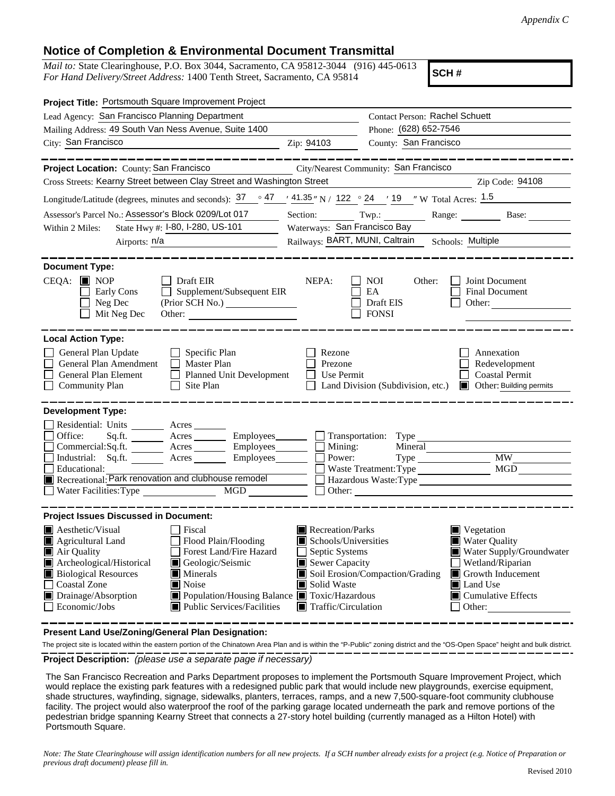## **Notice of Completion & Environmental Document Transmittal**

*Mail to:* State Clearinghouse, P.O. Box 3044, Sacramento, CA 95812-3044 (916) 445-0613 *For Hand Delivery/Street Address:* 1400 Tenth Street, Sacramento, CA 95814

**SCH #**

| Project Title: Portsmouth Square Improvement Project                                                                                                                                                                                                                                                                                                                                                                                                                     |                                                                                                                                   |                                                         |                                                                                                                                                                                   |
|--------------------------------------------------------------------------------------------------------------------------------------------------------------------------------------------------------------------------------------------------------------------------------------------------------------------------------------------------------------------------------------------------------------------------------------------------------------------------|-----------------------------------------------------------------------------------------------------------------------------------|---------------------------------------------------------|-----------------------------------------------------------------------------------------------------------------------------------------------------------------------------------|
| Lead Agency: San Francisco Planning Department                                                                                                                                                                                                                                                                                                                                                                                                                           | Contact Person: Rachel Schuett                                                                                                    |                                                         |                                                                                                                                                                                   |
| Mailing Address: 49 South Van Ness Avenue, Suite 1400                                                                                                                                                                                                                                                                                                                                                                                                                    |                                                                                                                                   | Phone: (628) 652-7546                                   |                                                                                                                                                                                   |
| City: San Francisco                                                                                                                                                                                                                                                                                                                                                                                                                                                      | Zip: 94103                                                                                                                        | County: San Francisco                                   |                                                                                                                                                                                   |
| Project Location: County: San Francisco<br>Cross Streets: Kearny Street between Clay Street and Washington Street                                                                                                                                                                                                                                                                                                                                                        |                                                                                                                                   | City/Nearest Community: San Francisco                   | Zip Code: 94108                                                                                                                                                                   |
| Longitude/Latitude (degrees, minutes and seconds): $\frac{37}{2}$ $\frac{47}{41.35}$ N / 122 $\degree$ 24 $\degree$ 19 $\degree$ W Total Acres: 1.5                                                                                                                                                                                                                                                                                                                      |                                                                                                                                   |                                                         |                                                                                                                                                                                   |
| Assessor's Parcel No.: Assessor's Block 0209/Lot 017<br>$\sim 10^{-1}$                                                                                                                                                                                                                                                                                                                                                                                                   |                                                                                                                                   | Section: Twp.: Range: Base:                             |                                                                                                                                                                                   |
| State Hwy #: I-80, I-280, US-101<br>Within 2 Miles:                                                                                                                                                                                                                                                                                                                                                                                                                      | Waterways: San Francisco Bay                                                                                                      |                                                         |                                                                                                                                                                                   |
| Airports: $n/a$                                                                                                                                                                                                                                                                                                                                                                                                                                                          | Railways: BART, MUNI, Caltrain Schools: Multiple                                                                                  |                                                         |                                                                                                                                                                                   |
| <b>Document Type:</b><br>$CEQA:$ MOP<br>Draft EIR<br>Supplement/Subsequent EIR<br>Early Cons<br>$\Box$<br>Neg Dec<br>Mit Neg Dec<br>Other:                                                                                                                                                                                                                                                                                                                               | NEPA:                                                                                                                             | <b>NOI</b><br>Other:<br>EA<br>Draft EIS<br><b>FONSI</b> | Joint Document<br>Final Document<br>Other:                                                                                                                                        |
| <b>Local Action Type:</b><br>General Plan Update<br>$\Box$ Specific Plan<br>General Plan Amendment<br>$\Box$ Master Plan<br>General Plan Element<br>Planned Unit Development<br>$\Box$ Community Plan<br>$\Box$ Site Plan                                                                                                                                                                                                                                                | Rezone<br>Prezone<br>Use Permit                                                                                                   | Land Division (Subdivision, etc.)                       | Annexation<br>Redevelopment<br>Coastal Permit<br><b>Other: Building permits</b>                                                                                                   |
| <b>Development Type:</b><br>Residential: Units ________ Acres ______<br>Office:<br>Sq.ft. ________ Acres _________ Employees________ __ Transportation: Type _______<br>Commercial:Sq.ft. _______ Acres ________ Employees_______<br>Industrial: Sq.ft. _______ Acres ________ Employees_______<br>Educational:<br>Recreational: Park renovation and clubhouse remodel<br>Water Facilities: Type<br>$\overline{MGD}$                                                     | Power:                                                                                                                            | Mining:<br>Waste Treatment: Type                        | <b>MW</b><br><b>MGD</b>                                                                                                                                                           |
| <b>Project Issues Discussed in Document:</b><br>$\blacksquare$ Aesthetic/Visual<br>Fiscal<br>Flood Plain/Flooding<br>ITI<br>Agricultural Land<br>Air Quality<br>Forest Land/Fire Hazard<br>Geologic/Seismic<br>Archeological/Historical<br><b>Biological Resources</b><br>Minerals<br><b>Coastal Zone</b><br>$\blacksquare$ Noise<br>Drainage/Absorption<br>■ Population/Housing Balance ■ Toxic/Hazardous<br>Economic/Jobs<br>$\blacksquare$ Public Services/Facilities | Recreation/Parks<br>Schools/Universities<br>Septic Systems<br>Sewer Capacity<br>Solid Waste<br>$\blacksquare$ Traffic/Circulation | Soil Erosion/Compaction/Grading                         | $\blacksquare$ Vegetation<br><b>Water Quality</b><br>Water Supply/Groundwater<br>Wetland/Riparian<br>Growth Inducement<br>Land Use<br>$\blacksquare$ Cumulative Effects<br>Other: |

**Present Land Use/Zoning/General Plan Designation:**

**Project Description:** *(please use a separate page if necessary)* The project site is located within the eastern portion of the Chinatown Area Plan and is within the "P-Public" zoning district and the "OS-Open Space" height and bulk district.

 The San Francisco Recreation and Parks Department proposes to implement the Portsmouth Square Improvement Project, which would replace the existing park features with a redesigned public park that would include new playgrounds, exercise equipment, shade structures, wayfinding, signage, sidewalks, planters, terraces, ramps, and a new 7,500-square-foot community clubhouse facility. The project would also waterproof the roof of the parking garage located underneath the park and remove portions of the pedestrian bridge spanning Kearny Street that connects a 27-story hotel building (currently managed as a Hilton Hotel) with Portsmouth Square.

*Note: The State Clearinghouse will assign identification numbers for all new projects. If a SCH number already exists for a project (e.g. Notice of Preparation or previous draft document) please fill in.*